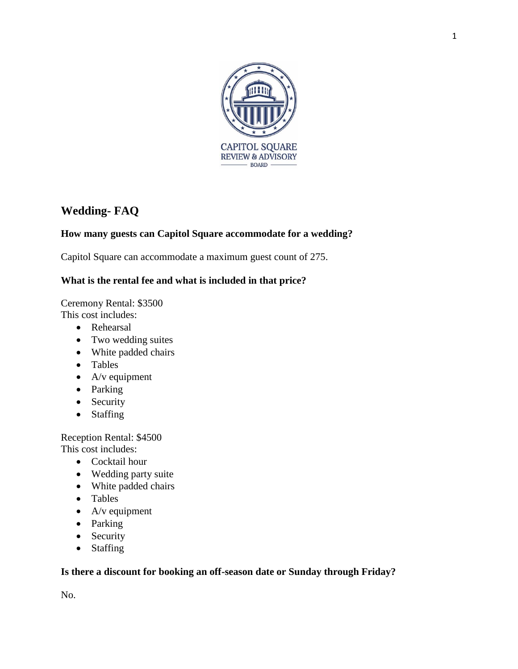

# **Wedding- FAQ**

# **How many guests can Capitol Square accommodate for a wedding?**

Capitol Square can accommodate a maximum guest count of 275.

# **What is the rental fee and what is included in that price?**

Ceremony Rental: \$3500 This cost includes:

- Rehearsal
- Two wedding suites
- White padded chairs
- Tables
- $\bullet$  A/v equipment
- Parking
- Security
- Staffing

Reception Rental: \$4500 This cost includes:

- Cocktail hour
- Wedding party suite
- White padded chairs
- Tables
- $\bullet$  A/v equipment
- Parking
- Security
- Staffing

#### **Is there a discount for booking an off-season date or Sunday through Friday?**

No.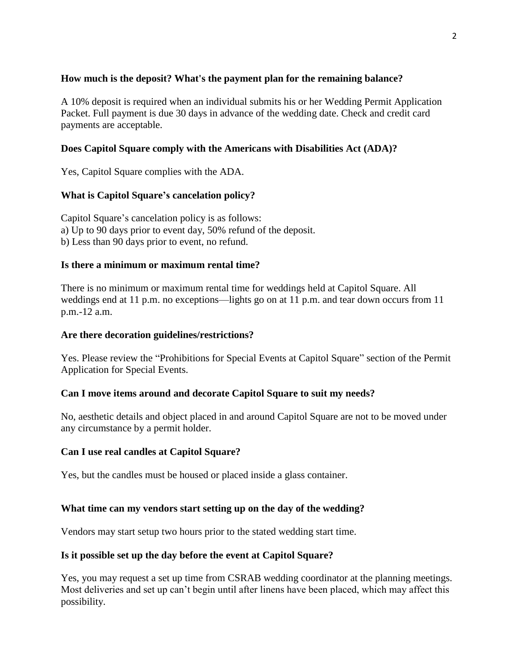#### **How much is the deposit? What's the payment plan for the remaining balance?**

A 10% deposit is required when an individual submits his or her Wedding Permit Application Packet. Full payment is due 30 days in advance of the wedding date. Check and credit card payments are acceptable.

#### **Does Capitol Square comply with the Americans with Disabilities Act (ADA)?**

Yes, Capitol Square complies with the ADA.

#### **What is Capitol Square's cancelation policy?**

Capitol Square's cancelation policy is as follows: a) Up to 90 days prior to event day, 50% refund of the deposit. b) Less than 90 days prior to event, no refund.

#### **Is there a minimum or maximum rental time?**

There is no minimum or maximum rental time for weddings held at Capitol Square. All weddings end at 11 p.m. no exceptions—lights go on at 11 p.m. and tear down occurs from 11 p.m.-12 a.m.

#### **Are there decoration guidelines/restrictions?**

Yes. Please review the "Prohibitions for Special Events at Capitol Square" section of the Permit Application for Special Events.

#### **Can I move items around and decorate Capitol Square to suit my needs?**

No, aesthetic details and object placed in and around Capitol Square are not to be moved under any circumstance by a permit holder.

#### **Can I use real candles at Capitol Square?**

Yes, but the candles must be housed or placed inside a glass container.

#### **What time can my vendors start setting up on the day of the wedding?**

Vendors may start setup two hours prior to the stated wedding start time.

#### **Is it possible set up the day before the event at Capitol Square?**

Yes, you may request a set up time from CSRAB wedding coordinator at the planning meetings. Most deliveries and set up can't begin until after linens have been placed, which may affect this possibility.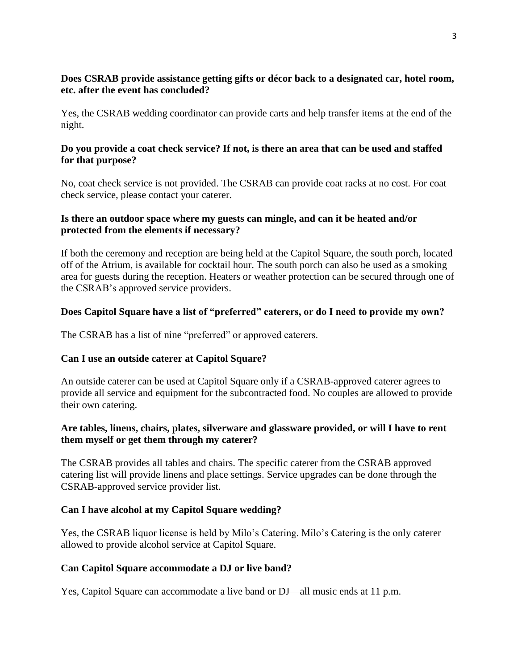# **Does CSRAB provide assistance getting gifts or décor back to a designated car, hotel room, etc. after the event has concluded?**

Yes, the CSRAB wedding coordinator can provide carts and help transfer items at the end of the night.

#### **Do you provide a coat check service? If not, is there an area that can be used and staffed for that purpose?**

No, coat check service is not provided. The CSRAB can provide coat racks at no cost. For coat check service, please contact your caterer.

#### **Is there an outdoor space where my guests can mingle, and can it be heated and/or protected from the elements if necessary?**

If both the ceremony and reception are being held at the Capitol Square, the south porch, located off of the Atrium, is available for cocktail hour. The south porch can also be used as a smoking area for guests during the reception. Heaters or weather protection can be secured through one of the CSRAB's approved service providers.

# **Does Capitol Square have a list of "preferred" caterers, or do I need to provide my own?**

The CSRAB has a list of nine "preferred" or approved caterers.

# **Can I use an outside caterer at Capitol Square?**

An outside caterer can be used at Capitol Square only if a CSRAB-approved caterer agrees to provide all service and equipment for the subcontracted food. No couples are allowed to provide their own catering.

# **Are tables, linens, chairs, plates, silverware and glassware provided, or will I have to rent them myself or get them through my caterer?**

The CSRAB provides all tables and chairs. The specific caterer from the CSRAB approved catering list will provide linens and place settings. Service upgrades can be done through the CSRAB-approved service provider list.

# **Can I have alcohol at my Capitol Square wedding?**

Yes, the CSRAB liquor license is held by Milo's Catering. Milo's Catering is the only caterer allowed to provide alcohol service at Capitol Square.

# **Can Capitol Square accommodate a DJ or live band?**

Yes, Capitol Square can accommodate a live band or DJ—all music ends at 11 p.m.